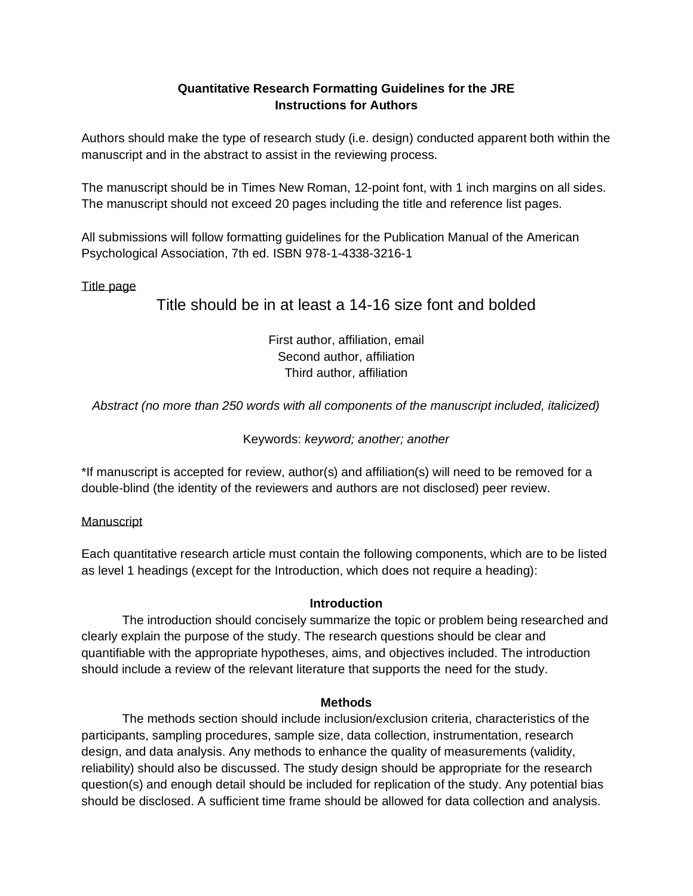# **Quantitative Research Formatting Guidelines for the JRE Instructions for Authors**

Authors should make the type of research study (i.e. design) conducted apparent both within the manuscript and in the abstract to assist in the reviewing process.

The manuscript should be in Times New Roman, 12-point font, with 1 inch margins on all sides. The manuscript should not exceed 20 pages including the title and reference list pages.

All submissions will follow formatting guidelines for the Publication Manual of the American Psychological Association, 7th ed. ISBN 978-1-4338-3216-1

## Title page

Title should be in at least a 14-16 size font and bolded

First author, affiliation, email Second author, affiliation Third author, affiliation

*Abstract (no more than 250 words with all components of the manuscript included, italicized)*

# Keywords: *keyword; another; another*

\*If manuscript is accepted for review, author(s) and affiliation(s) will need to be removed for a double-blind (the identity of the reviewers and authors are not disclosed) peer review.

## Manuscript

Each quantitative research article must contain the following components, which are to be listed as level 1 headings (except for the Introduction, which does not require a heading):

## **Introduction**

The introduction should concisely summarize the topic or problem being researched and clearly explain the purpose of the study. The research questions should be clear and quantifiable with the appropriate hypotheses, aims, and objectives included. The introduction should include a review of the relevant literature that supports the need for the study.

## **Methods**

The methods section should include inclusion/exclusion criteria, characteristics of the participants, sampling procedures, sample size, data collection, instrumentation, research design, and data analysis. Any methods to enhance the quality of measurements (validity, reliability) should also be discussed. The study design should be appropriate for the research question(s) and enough detail should be included for replication of the study. Any potential bias should be disclosed. A sufficient time frame should be allowed for data collection and analysis.